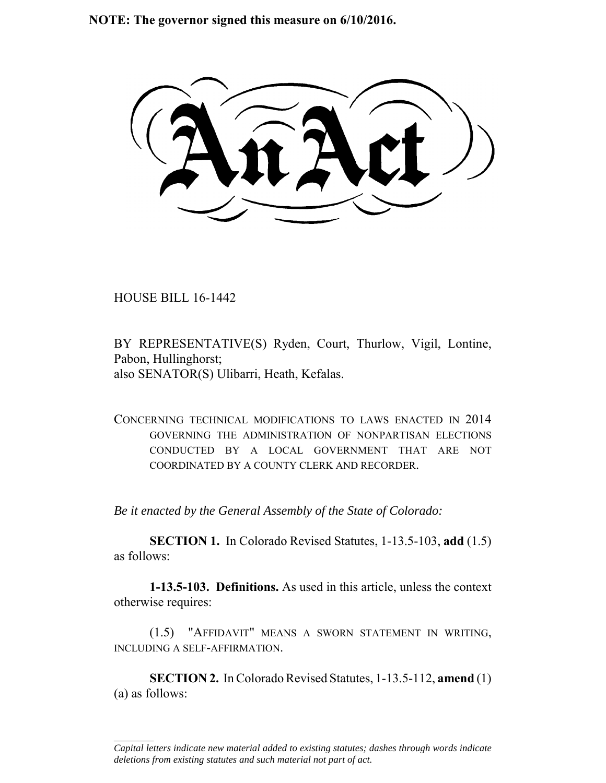**NOTE: The governor signed this measure on 6/10/2016.**

HOUSE BILL 16-1442

 $\frac{1}{2}$ 

BY REPRESENTATIVE(S) Ryden, Court, Thurlow, Vigil, Lontine, Pabon, Hullinghorst; also SENATOR(S) Ulibarri, Heath, Kefalas.

CONCERNING TECHNICAL MODIFICATIONS TO LAWS ENACTED IN 2014 GOVERNING THE ADMINISTRATION OF NONPARTISAN ELECTIONS CONDUCTED BY A LOCAL GOVERNMENT THAT ARE NOT COORDINATED BY A COUNTY CLERK AND RECORDER.

*Be it enacted by the General Assembly of the State of Colorado:*

**SECTION 1.** In Colorado Revised Statutes, 1-13.5-103, **add** (1.5) as follows:

**1-13.5-103. Definitions.** As used in this article, unless the context otherwise requires:

(1.5) "AFFIDAVIT" MEANS A SWORN STATEMENT IN WRITING, INCLUDING A SELF-AFFIRMATION.

**SECTION 2.** In Colorado Revised Statutes, 1-13.5-112, **amend** (1) (a) as follows:

*Capital letters indicate new material added to existing statutes; dashes through words indicate deletions from existing statutes and such material not part of act.*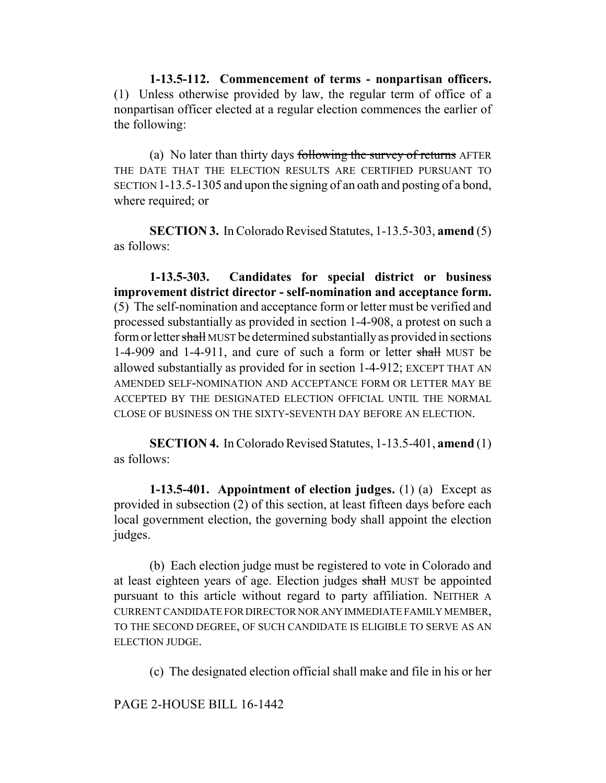**1-13.5-112. Commencement of terms - nonpartisan officers.** (1) Unless otherwise provided by law, the regular term of office of a nonpartisan officer elected at a regular election commences the earlier of the following:

(a) No later than thirty days following the survey of returns AFTER THE DATE THAT THE ELECTION RESULTS ARE CERTIFIED PURSUANT TO SECTION 1-13.5-1305 and upon the signing of an oath and posting of a bond, where required; or

**SECTION 3.** In Colorado Revised Statutes, 1-13.5-303, **amend** (5) as follows:

**1-13.5-303. Candidates for special district or business improvement district director - self-nomination and acceptance form.** (5) The self-nomination and acceptance form or letter must be verified and processed substantially as provided in section 1-4-908, a protest on such a form or letter shall MUST be determined substantially as provided in sections 1-4-909 and 1-4-911, and cure of such a form or letter shall MUST be allowed substantially as provided for in section 1-4-912; EXCEPT THAT AN AMENDED SELF-NOMINATION AND ACCEPTANCE FORM OR LETTER MAY BE ACCEPTED BY THE DESIGNATED ELECTION OFFICIAL UNTIL THE NORMAL CLOSE OF BUSINESS ON THE SIXTY-SEVENTH DAY BEFORE AN ELECTION.

**SECTION 4.** In Colorado Revised Statutes, 1-13.5-401, **amend** (1) as follows:

**1-13.5-401. Appointment of election judges.** (1) (a) Except as provided in subsection (2) of this section, at least fifteen days before each local government election, the governing body shall appoint the election judges.

(b) Each election judge must be registered to vote in Colorado and at least eighteen years of age. Election judges shall MUST be appointed pursuant to this article without regard to party affiliation. NEITHER A CURRENT CANDIDATE FOR DIRECTOR NOR ANY IMMEDIATE FAMILY MEMBER, TO THE SECOND DEGREE, OF SUCH CANDIDATE IS ELIGIBLE TO SERVE AS AN ELECTION JUDGE.

(c) The designated election official shall make and file in his or her

PAGE 2-HOUSE BILL 16-1442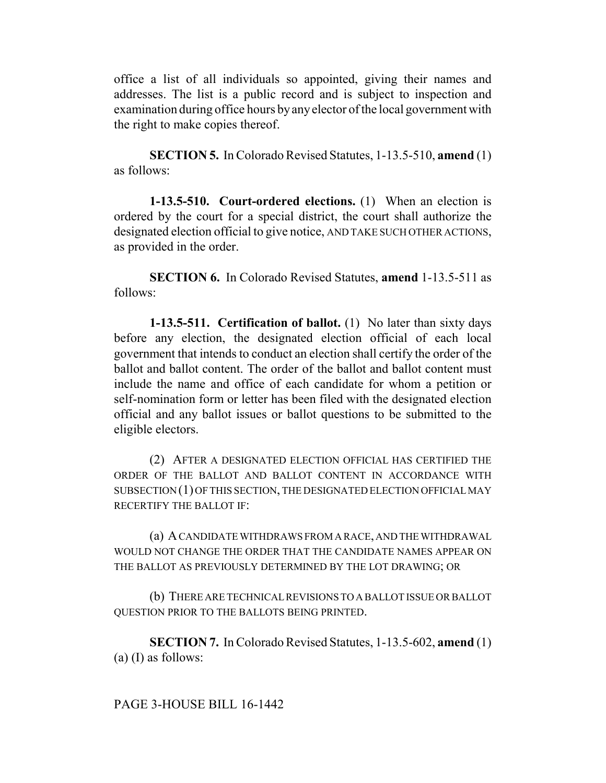office a list of all individuals so appointed, giving their names and addresses. The list is a public record and is subject to inspection and examination during office hours by any elector of the local government with the right to make copies thereof.

**SECTION 5.** In Colorado Revised Statutes, 1-13.5-510, **amend** (1) as follows:

**1-13.5-510. Court-ordered elections.** (1) When an election is ordered by the court for a special district, the court shall authorize the designated election official to give notice, AND TAKE SUCH OTHER ACTIONS, as provided in the order.

**SECTION 6.** In Colorado Revised Statutes, **amend** 1-13.5-511 as follows:

**1-13.5-511. Certification of ballot.** (1) No later than sixty days before any election, the designated election official of each local government that intends to conduct an election shall certify the order of the ballot and ballot content. The order of the ballot and ballot content must include the name and office of each candidate for whom a petition or self-nomination form or letter has been filed with the designated election official and any ballot issues or ballot questions to be submitted to the eligible electors.

(2) AFTER A DESIGNATED ELECTION OFFICIAL HAS CERTIFIED THE ORDER OF THE BALLOT AND BALLOT CONTENT IN ACCORDANCE WITH SUBSECTION (1) OF THIS SECTION, THE DESIGNATED ELECTION OFFICIAL MAY RECERTIFY THE BALLOT IF:

(a) A CANDIDATE WITHDRAWS FROM A RACE, AND THE WITHDRAWAL WOULD NOT CHANGE THE ORDER THAT THE CANDIDATE NAMES APPEAR ON THE BALLOT AS PREVIOUSLY DETERMINED BY THE LOT DRAWING; OR

(b) THERE ARE TECHNICAL REVISIONS TO A BALLOT ISSUE OR BALLOT QUESTION PRIOR TO THE BALLOTS BEING PRINTED.

**SECTION 7.** In Colorado Revised Statutes, 1-13.5-602, **amend** (1) (a) (I) as follows: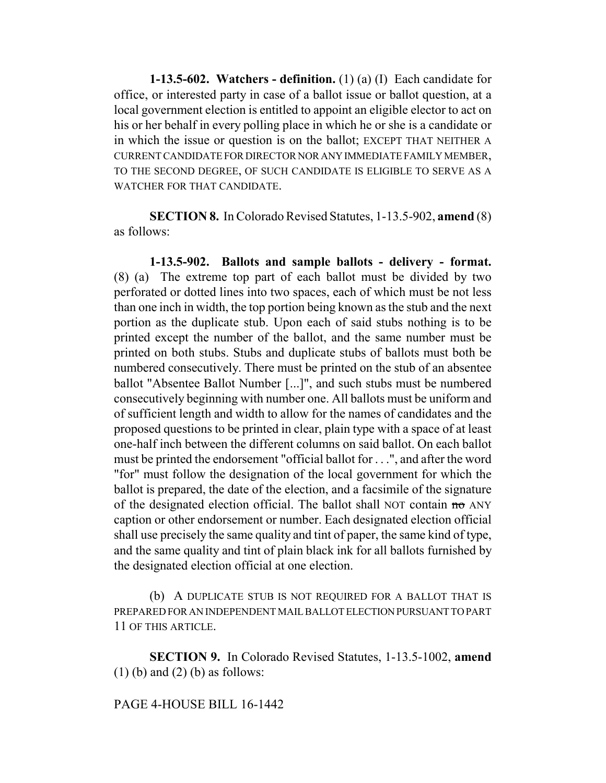**1-13.5-602. Watchers - definition.** (1) (a) (I) Each candidate for office, or interested party in case of a ballot issue or ballot question, at a local government election is entitled to appoint an eligible elector to act on his or her behalf in every polling place in which he or she is a candidate or in which the issue or question is on the ballot; EXCEPT THAT NEITHER A CURRENT CANDIDATE FOR DIRECTOR NOR ANY IMMEDIATE FAMILY MEMBER, TO THE SECOND DEGREE, OF SUCH CANDIDATE IS ELIGIBLE TO SERVE AS A WATCHER FOR THAT CANDIDATE.

**SECTION 8.** In Colorado Revised Statutes, 1-13.5-902, **amend** (8) as follows:

**1-13.5-902. Ballots and sample ballots - delivery - format.** (8) (a) The extreme top part of each ballot must be divided by two perforated or dotted lines into two spaces, each of which must be not less than one inch in width, the top portion being known as the stub and the next portion as the duplicate stub. Upon each of said stubs nothing is to be printed except the number of the ballot, and the same number must be printed on both stubs. Stubs and duplicate stubs of ballots must both be numbered consecutively. There must be printed on the stub of an absentee ballot "Absentee Ballot Number [...]", and such stubs must be numbered consecutively beginning with number one. All ballots must be uniform and of sufficient length and width to allow for the names of candidates and the proposed questions to be printed in clear, plain type with a space of at least one-half inch between the different columns on said ballot. On each ballot must be printed the endorsement "official ballot for . . .", and after the word "for" must follow the designation of the local government for which the ballot is prepared, the date of the election, and a facsimile of the signature of the designated election official. The ballot shall NOT contain no ANY caption or other endorsement or number. Each designated election official shall use precisely the same quality and tint of paper, the same kind of type, and the same quality and tint of plain black ink for all ballots furnished by the designated election official at one election.

(b) A DUPLICATE STUB IS NOT REQUIRED FOR A BALLOT THAT IS PREPARED FOR AN INDEPENDENT MAIL BALLOT ELECTION PURSUANT TO PART 11 OF THIS ARTICLE.

**SECTION 9.** In Colorado Revised Statutes, 1-13.5-1002, **amend**  $(1)$  (b) and  $(2)$  (b) as follows:

## PAGE 4-HOUSE BILL 16-1442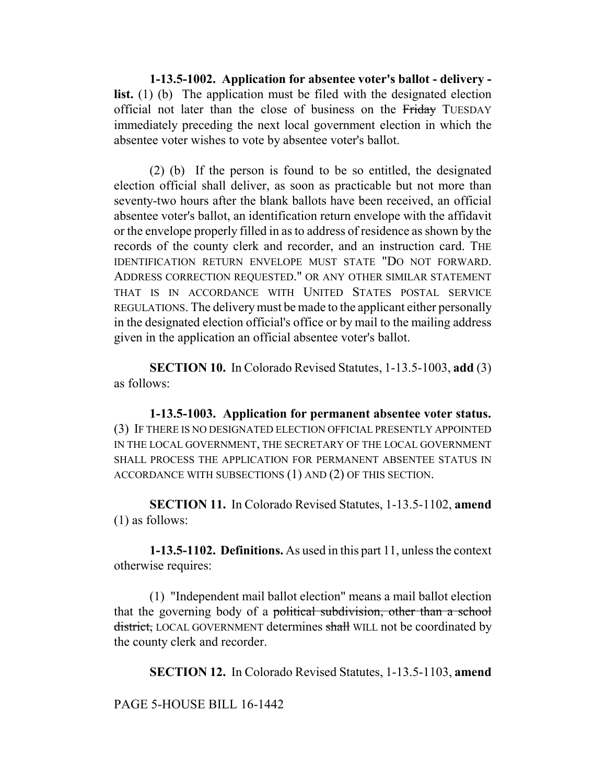**1-13.5-1002. Application for absentee voter's ballot - delivery list.** (1) (b) The application must be filed with the designated election official not later than the close of business on the Friday TUESDAY immediately preceding the next local government election in which the absentee voter wishes to vote by absentee voter's ballot.

(2) (b) If the person is found to be so entitled, the designated election official shall deliver, as soon as practicable but not more than seventy-two hours after the blank ballots have been received, an official absentee voter's ballot, an identification return envelope with the affidavit or the envelope properly filled in as to address of residence as shown by the records of the county clerk and recorder, and an instruction card. THE IDENTIFICATION RETURN ENVELOPE MUST STATE "DO NOT FORWARD. ADDRESS CORRECTION REQUESTED." OR ANY OTHER SIMILAR STATEMENT THAT IS IN ACCORDANCE WITH UNITED STATES POSTAL SERVICE REGULATIONS. The delivery must be made to the applicant either personally in the designated election official's office or by mail to the mailing address given in the application an official absentee voter's ballot.

**SECTION 10.** In Colorado Revised Statutes, 1-13.5-1003, **add** (3) as follows:

**1-13.5-1003. Application for permanent absentee voter status.** (3) IF THERE IS NO DESIGNATED ELECTION OFFICIAL PRESENTLY APPOINTED IN THE LOCAL GOVERNMENT, THE SECRETARY OF THE LOCAL GOVERNMENT SHALL PROCESS THE APPLICATION FOR PERMANENT ABSENTEE STATUS IN ACCORDANCE WITH SUBSECTIONS (1) AND (2) OF THIS SECTION.

**SECTION 11.** In Colorado Revised Statutes, 1-13.5-1102, **amend** (1) as follows:

**1-13.5-1102. Definitions.** As used in this part 11, unless the context otherwise requires:

(1) "Independent mail ballot election" means a mail ballot election that the governing body of a political subdivision, other than a school district, LOCAL GOVERNMENT determines shall WILL not be coordinated by the county clerk and recorder.

**SECTION 12.** In Colorado Revised Statutes, 1-13.5-1103, **amend**

PAGE 5-HOUSE BILL 16-1442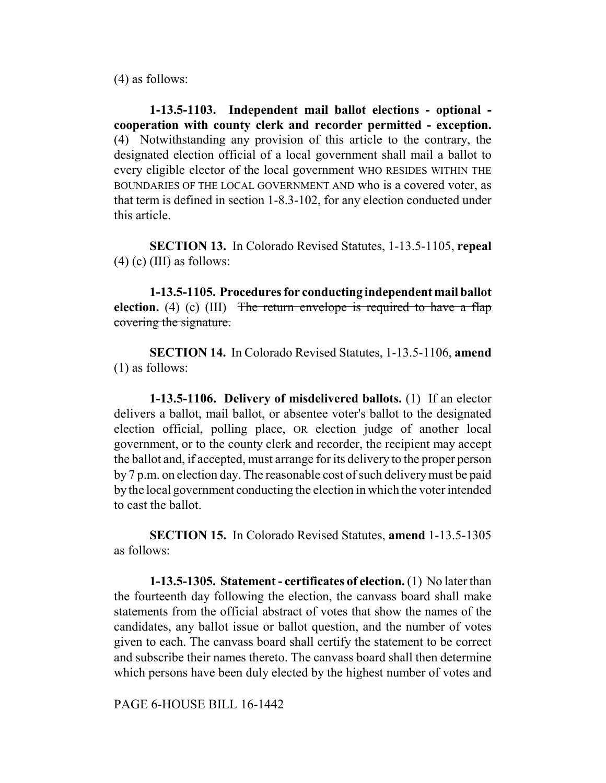(4) as follows:

**1-13.5-1103. Independent mail ballot elections - optional cooperation with county clerk and recorder permitted - exception.** (4) Notwithstanding any provision of this article to the contrary, the designated election official of a local government shall mail a ballot to every eligible elector of the local government WHO RESIDES WITHIN THE BOUNDARIES OF THE LOCAL GOVERNMENT AND who is a covered voter, as that term is defined in section 1-8.3-102, for any election conducted under this article.

**SECTION 13.** In Colorado Revised Statutes, 1-13.5-1105, **repeal**  $(4)$  (c) (III) as follows:

**1-13.5-1105. Procedures for conducting independent mail ballot election.** (4) (c) (III) The return envelope is required to have a flap covering the signature.

**SECTION 14.** In Colorado Revised Statutes, 1-13.5-1106, **amend** (1) as follows:

**1-13.5-1106. Delivery of misdelivered ballots.** (1) If an elector delivers a ballot, mail ballot, or absentee voter's ballot to the designated election official, polling place, OR election judge of another local government, or to the county clerk and recorder, the recipient may accept the ballot and, if accepted, must arrange for its delivery to the proper person by 7 p.m. on election day. The reasonable cost of such delivery must be paid by the local government conducting the election in which the voter intended to cast the ballot.

**SECTION 15.** In Colorado Revised Statutes, **amend** 1-13.5-1305 as follows:

**1-13.5-1305. Statement - certificates of election.** (1) No later than the fourteenth day following the election, the canvass board shall make statements from the official abstract of votes that show the names of the candidates, any ballot issue or ballot question, and the number of votes given to each. The canvass board shall certify the statement to be correct and subscribe their names thereto. The canvass board shall then determine which persons have been duly elected by the highest number of votes and

PAGE 6-HOUSE BILL 16-1442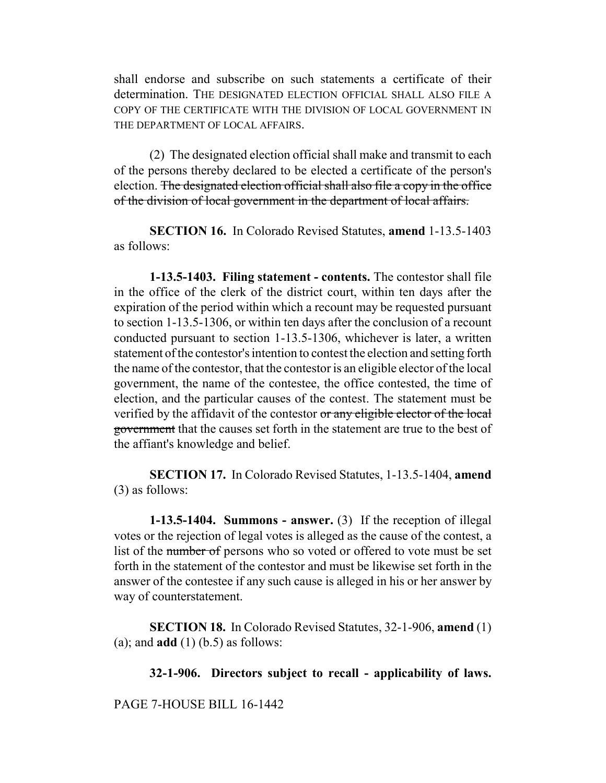shall endorse and subscribe on such statements a certificate of their determination. THE DESIGNATED ELECTION OFFICIAL SHALL ALSO FILE A COPY OF THE CERTIFICATE WITH THE DIVISION OF LOCAL GOVERNMENT IN THE DEPARTMENT OF LOCAL AFFAIRS.

(2) The designated election official shall make and transmit to each of the persons thereby declared to be elected a certificate of the person's election. The designated election official shall also file a copy in the office of the division of local government in the department of local affairs.

**SECTION 16.** In Colorado Revised Statutes, **amend** 1-13.5-1403 as follows:

**1-13.5-1403. Filing statement - contents.** The contestor shall file in the office of the clerk of the district court, within ten days after the expiration of the period within which a recount may be requested pursuant to section 1-13.5-1306, or within ten days after the conclusion of a recount conducted pursuant to section 1-13.5-1306, whichever is later, a written statement of the contestor's intention to contest the election and setting forth the name of the contestor, that the contestor is an eligible elector of the local government, the name of the contestee, the office contested, the time of election, and the particular causes of the contest. The statement must be verified by the affidavit of the contestor or any eligible elector of the local government that the causes set forth in the statement are true to the best of the affiant's knowledge and belief.

**SECTION 17.** In Colorado Revised Statutes, 1-13.5-1404, **amend** (3) as follows:

**1-13.5-1404. Summons - answer.** (3) If the reception of illegal votes or the rejection of legal votes is alleged as the cause of the contest, a list of the number of persons who so voted or offered to vote must be set forth in the statement of the contestor and must be likewise set forth in the answer of the contestee if any such cause is alleged in his or her answer by way of counterstatement.

**SECTION 18.** In Colorado Revised Statutes, 32-1-906, **amend** (1) (a); and **add** (1) (b.5) as follows:

**32-1-906. Directors subject to recall - applicability of laws.**

PAGE 7-HOUSE BILL 16-1442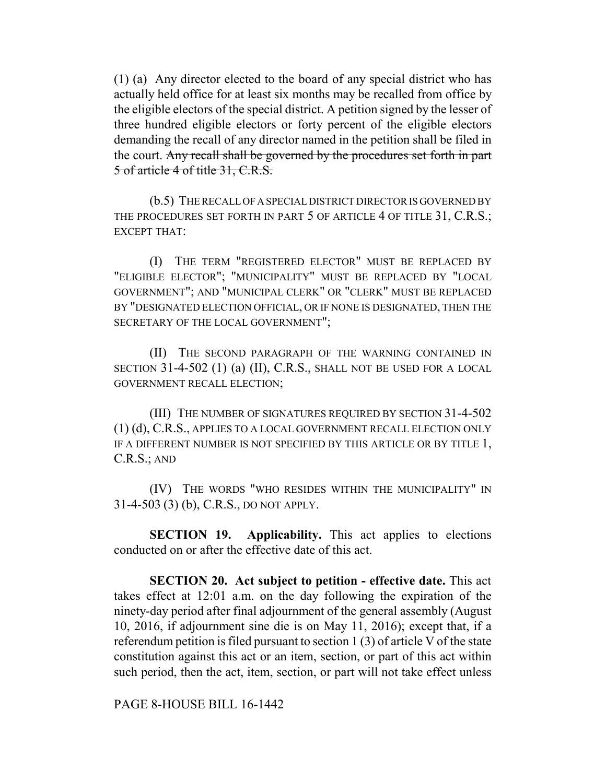(1) (a) Any director elected to the board of any special district who has actually held office for at least six months may be recalled from office by the eligible electors of the special district. A petition signed by the lesser of three hundred eligible electors or forty percent of the eligible electors demanding the recall of any director named in the petition shall be filed in the court. Any recall shall be governed by the procedures set forth in part 5 of article 4 of title 31, C.R.S.

(b.5) THE RECALL OF A SPECIAL DISTRICT DIRECTOR IS GOVERNED BY THE PROCEDURES SET FORTH IN PART 5 OF ARTICLE 4 OF TITLE 31, C.R.S.; EXCEPT THAT:

(I) THE TERM "REGISTERED ELECTOR" MUST BE REPLACED BY "ELIGIBLE ELECTOR"; "MUNICIPALITY" MUST BE REPLACED BY "LOCAL GOVERNMENT"; AND "MUNICIPAL CLERK" OR "CLERK" MUST BE REPLACED BY "DESIGNATED ELECTION OFFICIAL, OR IF NONE IS DESIGNATED, THEN THE SECRETARY OF THE LOCAL GOVERNMENT";

(II) THE SECOND PARAGRAPH OF THE WARNING CONTAINED IN SECTION 31-4-502 (1) (a) (II), C.R.S., SHALL NOT BE USED FOR A LOCAL GOVERNMENT RECALL ELECTION;

(III) THE NUMBER OF SIGNATURES REQUIRED BY SECTION 31-4-502 (1) (d), C.R.S., APPLIES TO A LOCAL GOVERNMENT RECALL ELECTION ONLY IF A DIFFERENT NUMBER IS NOT SPECIFIED BY THIS ARTICLE OR BY TITLE 1, C.R.S.; AND

(IV) THE WORDS "WHO RESIDES WITHIN THE MUNICIPALITY" IN 31-4-503 (3) (b), C.R.S., DO NOT APPLY.

**SECTION 19. Applicability.** This act applies to elections conducted on or after the effective date of this act.

**SECTION 20. Act subject to petition - effective date.** This act takes effect at 12:01 a.m. on the day following the expiration of the ninety-day period after final adjournment of the general assembly (August 10, 2016, if adjournment sine die is on May 11, 2016); except that, if a referendum petition is filed pursuant to section 1 (3) of article V of the state constitution against this act or an item, section, or part of this act within such period, then the act, item, section, or part will not take effect unless

PAGE 8-HOUSE BILL 16-1442